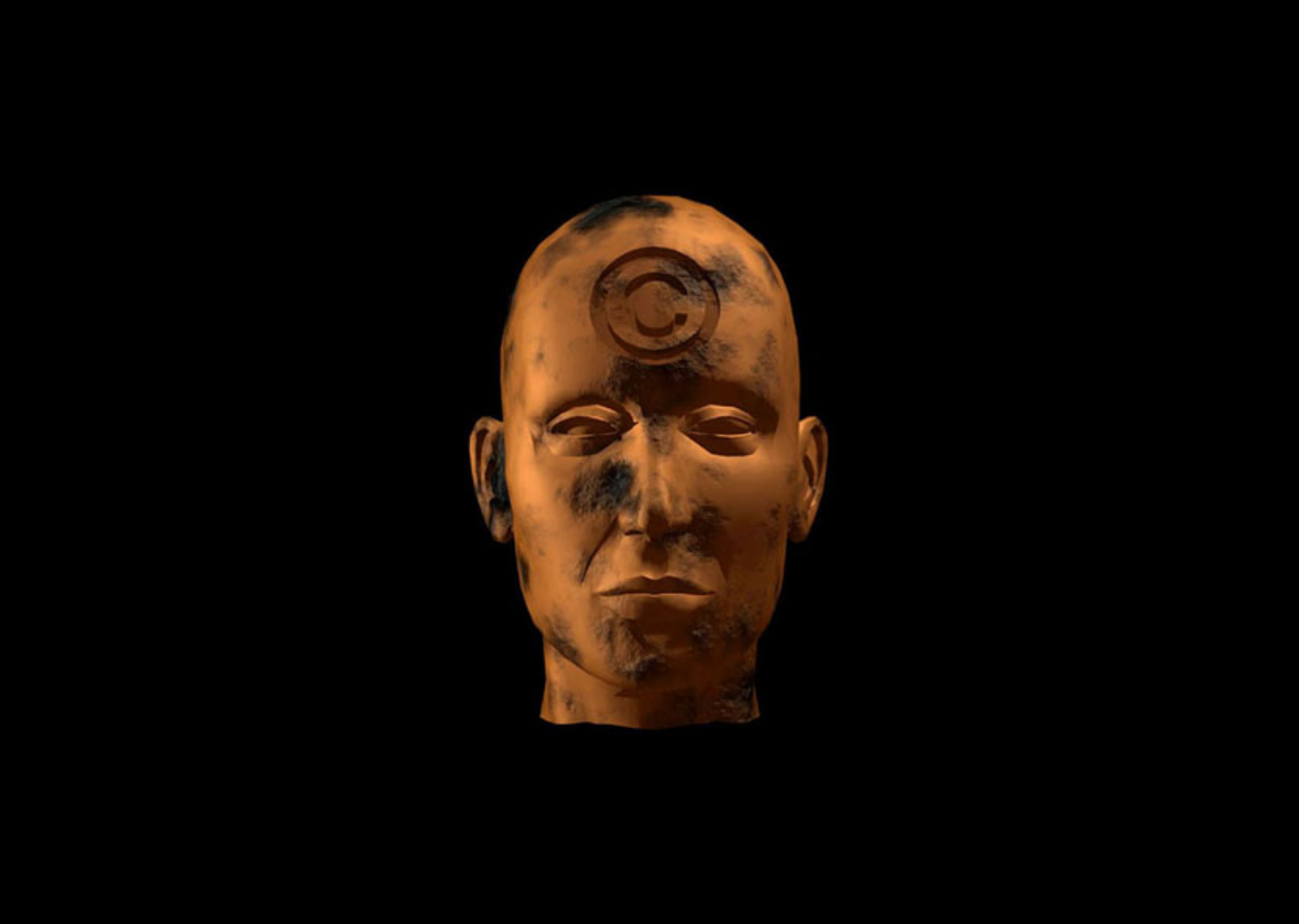

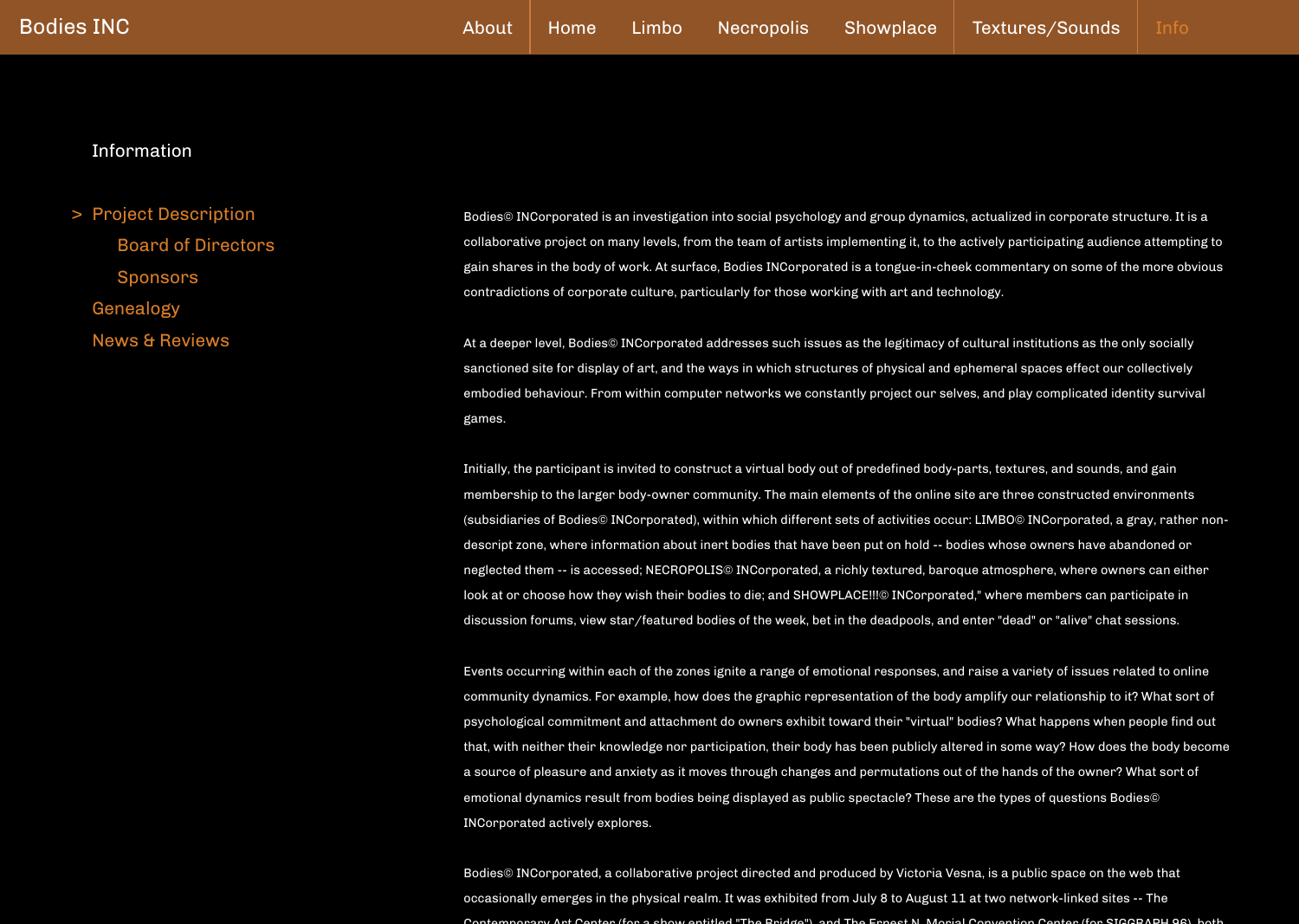Bodies© INCorporated is an investigation into social psychology and group dynamics, actualized in corporate structure. It is a collaborative project on many levels, from the team of artists implementing it, to the actively participating audience attempting to gain shares in the body of work. At surface, Bodies INCorporated is a tongue-in-cheek commentary on some of the more obvious contradictions of corporate culture, particularly for those working with art and technology.

At a deeper level, Bodies© INCorporated addresses such issues as the legitimacy of cultural institutions as the only socially sanctioned site for display of art, and the ways in which structures of physical and ephemeral spaces effect our collectively embodied behaviour. From within computer networks we constantly project our selves, and play complicated identity survival games.

Initially, the participant is invited to construct a virtual body out of predefined body-parts, textures, and sounds, and gain membership to the larger body-owner community. The main elements of the online site are three constructed environments (subsidiaries of Bodies© INCorporated), within which different sets of activities occur: LIMBO© INCorporated, a gray, rather nondescript zone, where information about inert bodies that have been put on hold -- bodies whose owners have abandoned or neglected them -- is accessed; NECROPOLIS© INCorporated, a richly textured, baroque atmosphere, where owners can either look at or choose how they wish their bodies to die; and SHOWPLACE!!!© INCorporated," where members can participate in discussion forums, view star/featured bodies of the week, bet in the deadpools, and enter "dead" or "alive" chat sessions.

> Project Description Board of Directors Sponsors Genealogy News & Reviews

> Events occurring within each of the zones ignite a range of emotional responses, and raise a variety of issues related to online community dynamics. For example, how does the graphic representation of the body amplify our relationship to it? What sort of psychological commitment and attachment do owners exhibit toward their "virtual" bodies? What happens when people find out that, with neither their knowledge nor participation, their body has been publicly altered in some way? How does the body become a source of pleasure and anxiety as it moves through changes and permutations out of the hands of the owner? What sort of emotional dynamics result from bodies being displayed as public spectacle? These are the types of questions Bodies© INCorporated actively explores.

> Bodies© INCorporated, a collaborative project directed and produced by Victoria Vesna, is a public space on the web that occasionally emerges in the physical realm. It was exhibited from July 8 to August 11 at two network-linked sites -- The Contemporary Art Center (for a show entitled "The Bridge"), and The Ernest N. Morial Convention Center (for SIGGRAPH 96), both

## Information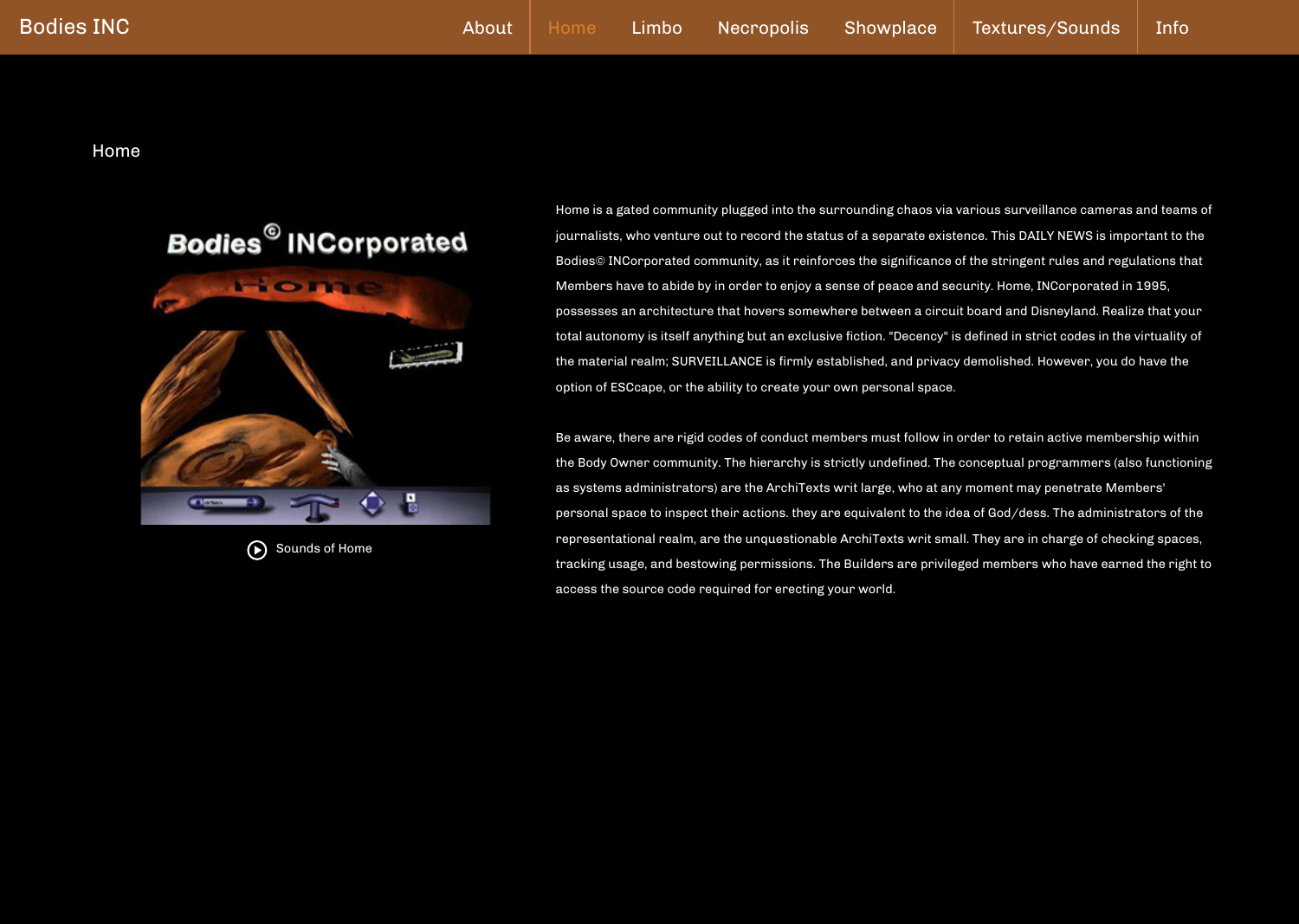| <b>Bodies INC</b><br>About   Home |  |
|-----------------------------------|--|
|-----------------------------------|--|

Home is a gated community plugged into the surrounding chaos via various surveillance cameras and teams of journalists, who venture out to record the status of a separate existence. This DAILY NEWS is important to the Bodies© INCorporated community, as it reinforces the significance of the stringent rules and regulations that Members have to abide by in order to enjoy a sense of peace and security. Home, INCorporated in 1995, possesses an architecture that hovers somewhere between a circuit board and Disneyland. Realize that your total autonomy is itself anything but an exclusive fiction. "Decency" is defined in strict codes in the virtuality of the material realm; SURVEILLANCE is firmly established, and privacy demolished. However, you do have the option of ESCcape, or the ability to create your own personal space.

Be aware, there are rigid codes of conduct members must follow in order to retain active membership within the Body Owner community. The hierarchy is strictly undefined. The conceptual programmers (also functioning as systems administrators) are the ArchiTexts writ large, who at any moment may penetrate Members' personal space to inspect their actions. they are equivalent to the idea of God/dess. The administrators of the representational realm, are the unquestionable ArchiTexts writ small. They are in charge of checking spaces, tracking usage, and bestowing permissions. The Builders are privileged members who have earned the right to access the source code required for erecting your world.

Sounds of Home

Home

## **Bodies<sup>®</sup> INCorporated**